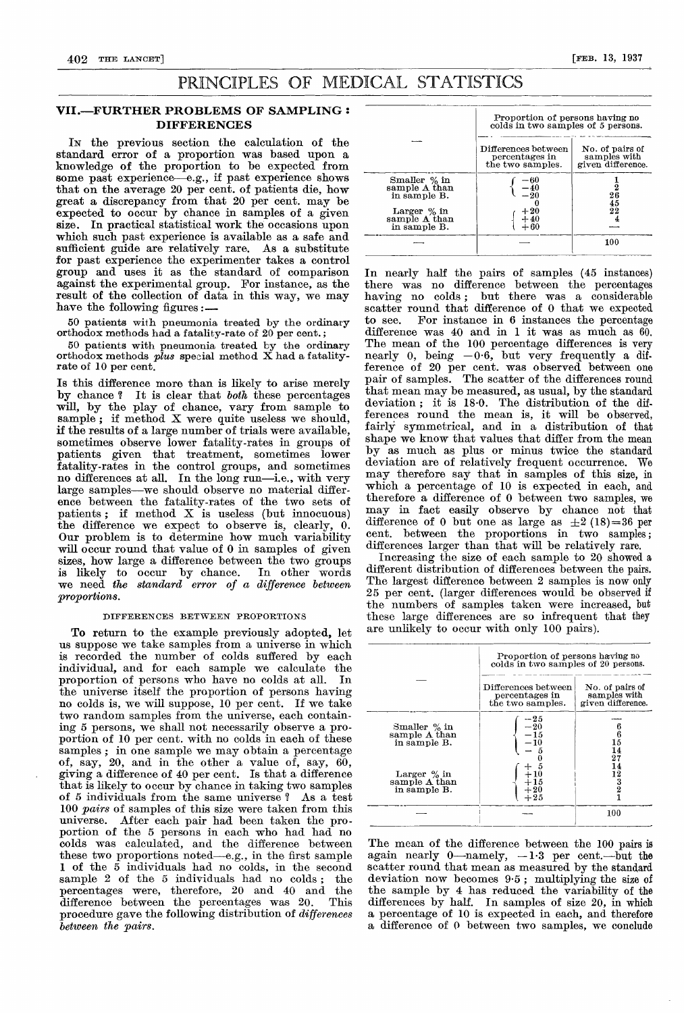# PRINCIPLES OF MEDICAL STATISTICS

## VII.—FURTHER PROBLEMS OF SAMPLING : DIFFERENCES

IN the previous section the calculation of the standard error of a proportion was based upon a knowledge of the proportion to be expected from some past experience-e.g., if past experience shows that on the average 20 per cent. of patients die, how great a discrepancy from that 20 per cent. may be expected to occur by chance in samples of a given size. In practical statistical work the occasions upon which such past experience is available as a safe and sufficient guide are relatively rare. As a substitute for past experience the experimenter takes a control group and uses it as the standard of comparison against the experimental group. For instance, as the result of the collection of data in this way, we may have the following figures:

50 patients with pneumonia treated by the ordinary orthodox methods had a fatality-rate of 20 per cent. ;

50 patients with pneumonia treated by the ordinary orthodox methods  $plus$  special method X had a fatalityrate of 10 per cent.

Is this difference more than is likely to arise merely by chance? It is clear that both these percentages will, by the play of chance, vary from sample to sample; if method  $X$  were quite useless we should, if the results of a large number of trials were available, sometimes observe lower fatality-rates in groups of patients given that treatment, sometimes lower fatality-rates in the control groups, and sometimes no differences at all. In the long run-i.e., with very large samples—we should observe no material difference between the fatality-rates of the two sets of patients ; if method X is useless (but innocuous) the difference we expect to observe is, clearly, 0. Our problem is to determine how much variability will occur round that value of 0 in samples of given sizes, how large a difference between the two groups is likely to occur by chance. In other words we need the standard error of a difference between proportions.

#### DIFFERENCES BETWEEN PROPORTIONS

To return to the example previously adopted, let us suppose we take samples from a universe in which is recorded the number of colds suffered by each individual, and for each sample we calculate the proportion of persons who have no colds at all. In the universe itself the proportion of persons having no colds is, we will suppose, 10 per cent. If we take two random samples from the universe, each containing 5 persons, we shall not necessarily observe a proportion of 10 per cent. with no colds in each of these samples ; in one sample we may obtain a percentage of, say, 20, and in the other a value of, say, 60, giving a difference of 40 per cent. Is that a difference that is likely to occur by chance in taking two samples of 5 individuals from the same universe ? As a test 100 pairs of samples of this size were taken from this universe. After each pair had been taken the proportion of the 5 persons in each who had had no colds was calculated, and the difference between these two proportions noted-e.g., in the first sample 1 of the  $\overline{5}$  individuals had no colds, in the second sample 2 of the  $5$  individuals had no colds; the sample 2 of the 5 individuals had no colds; percentages were, therefore, 20 and 40 and the difference between the percentages was  $20$ . procedure gave the following distribution of differences between the pairs.

|                                                  | Proportion of persons having no<br>colds in two samples of 5 persons. |                                                      |  |
|--------------------------------------------------|-----------------------------------------------------------------------|------------------------------------------------------|--|
|                                                  | Differences between<br>percentages in<br>the two samples.             | No. of pairs of<br>samples with<br>given difference. |  |
| Smaller $\%$ in<br>sample A than<br>in sample B. | -60<br>20                                                             | 45                                                   |  |
| Larger $\%$ in<br>sample A than<br>in sample B.  | $+20\n+40$<br>$+60$                                                   | 22                                                   |  |
|                                                  |                                                                       | 100                                                  |  |

In nearly half the pairs of samples (45 instances) there was no difference between the percentages having no colds; but there was a considerable but there was a considerable scatter round that difference of 0 that we expected to see. For instance in 6 instances the percentage For instance in  $6$  instances the percentage difference was 40 and in 1 it was as much as  $60$ . The mean of the 100 percentage differences is very nearly 0, being  $-0.6$ , but very frequently a difference of 20 per cent. was observed between one pair of samples. The scatter of the differences round that mean may be measured, as usual, by the standard deviation ; it is 18-0. The distribution of the differences round the mean is, it will be observed, fairly symmetrical, and in a distribution of that shape we know that values that differ from the mean by as much as plus or minus twice the standard deviation are of relatively frequent occurrence. We may therefore say that in samples of this size, in which a percentage of 10 is expected in each, and therefore a difference of 0 between two samples, we may in fact easily observe by chance not that difference of 0 but one as large as  $\pm 2$  (18)=36 per cent. between the proportions in two samples; differences larger than that will be relatively rare.

Increasing the size of each sample to 20 showed a different distribution of differences between the pairs. The largest difference between 2 samples is now only 25 per cent. (larger differences would be observed if the numbers of samples taken were increased, but these large differences are so infrequent that they are unlikely to occur with only 100 pairs).

|                                                 | Proportion of persons having no<br>colds in two samples of 20 persons. |                                                      |  |
|-------------------------------------------------|------------------------------------------------------------------------|------------------------------------------------------|--|
|                                                 | $_{\rm Differences}$ between<br>percentages in<br>the two samples.     | No. of pairs of<br>samples with<br>given difference. |  |
| Smaller % in<br>sample A than<br>in sample B.   | $-25$<br>$-20$<br>$-15$<br>$-10$                                       | 6<br>6<br>15<br>14<br>27                             |  |
| Larger $\%$ in<br>sample A than<br>in sample B. | $^{\rm +25}$                                                           | 12<br>$\frac{3}{2}$                                  |  |
|                                                 |                                                                        | 100                                                  |  |

The mean of the difference between the 100 pairs is again nearly 0—namely,  $-1.3$  per cent.-but the scatter round that mean as measured by the standard deviation now becomes 9-5 ; multiplying the size of the sample by 4 has reduced the variability of the differences by half. In samples of size 20, in which a percentage of 10 is expected in each, and therefore a difference of 0 between two samples, we conclude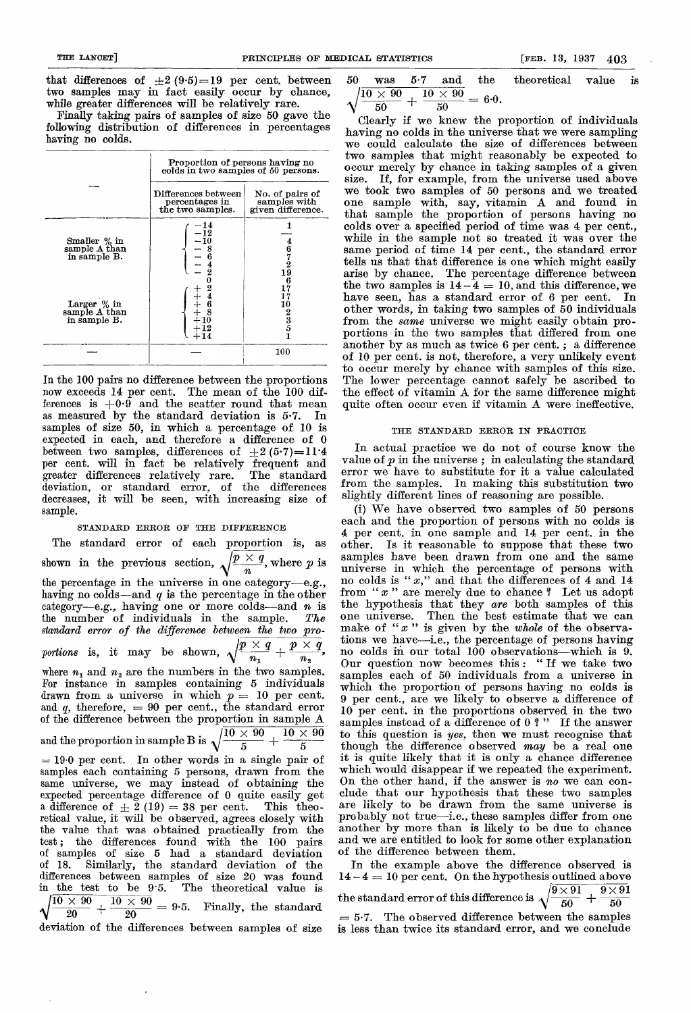that differences of  $\pm 2(9.5)=19$  per cent. between two samples may in fact easily occur by chance, while greater differences will be relatively rare.

Finally taking pairs of samples of size 50 gave the following distribution of differences in percentages having no colds.

|                                               | Proportion of persons having no<br>colds in two samples of 50 persons. |                                                                |  |
|-----------------------------------------------|------------------------------------------------------------------------|----------------------------------------------------------------|--|
|                                               | Differences between<br>percentages in<br>the two samples.              | No. of pairs of<br>samples with<br>given difference.           |  |
| Smaller % in<br>sample A than<br>in sample B. | $\begin{array}{r} -14 \\ -12 \\ -10 \\ -8 \\ -6 \end{array}$           | $\begin{smallmatrix} 4\ 6\ 7\ 7\ 2\ 19 \end{smallmatrix}$<br>6 |  |
| Larger % in<br>sample A than<br>in sample B.  |                                                                        | เ0<br>3<br>5<br>5                                              |  |
|                                               |                                                                        | 100                                                            |  |

In the 100 pairs no difference between the proportions now exceeds 14 per cent. The mean of the 100 differences is  $+0.9$  and the scatter round that mean as measured by the standard deviation is 57. In samples of size 50, in which a percentage of 10 is expected in each, and therefore a difference of 0 between two samples, differences of  $\pm 2(5\cdot 7)=11\cdot 4$ per cent. will in fact be relatively frequent and greater differences relatively rare. The standard deviation, or standard error, of the differences decreases, it will be seen, with increasing size of sample.

STANDARD ERROR OF THE DIFFERENCE

The standard error of each proportion is, as shown in the previous section,  $\sqrt{\frac{p \times q}{n}}$ , where p is the percentage in the universe in one category-e.g., having no colds—and  $q$  is the percentage in the other category-e.g., having one or more colds-and *n* is<br>the number of individuals in the sample. The the number of individuals in the sample. standard error of the difference between the two proportions is, it may be shown,  $\sqrt{\frac{p \times q}{n_1} + \frac{p \times q}{n_2}}$ , where  $n_1$  and  $n_2$  are the numbers in the two samples. For instance in samples containing 5 individuals drawn from a universe in which  $p = 10$  per cent. and  $q$ , therefore,  $= 90$  per cent., the standard error of the difference between the proportion in sample A and the proportion in sample B is  $\sqrt{\frac{10\times90}{5}} + \frac{10\times90}{5}$  $= 19.0$  per cent. In other words in a single pair of samples each containing 5 persons, drawn from the same universe, we may instead of obtaining the expected percentage difference of 0 quite easily get a difference of  $\pm$  2 (19) = 38 per cent. This theoretical value, it will be observed, agrees closely with the value that was obtained practically from the test; the differences found with the 100 pairs of samples of size 5 had a standard deviation Similarly, the standard deviation of the differences between samples of size 20 was found in the test to be 9-5. The theoretical value is  $\sqrt{\frac{10\times 90}{20} + \frac{10\times 90}{20}} = 9.5$ . Finally, the standard

deviation of the differences between samples of size

|      |  |                                                                 | 50 was 5.7 and the theoretical value is |  |
|------|--|-----------------------------------------------------------------|-----------------------------------------|--|
| - 50 |  | $\sqrt{10\,\times\,90}$ , $\boxed{10\,\times\,90} = 6{\cdot}0.$ |                                         |  |

Clearly if we knew the proportion of individuals having no colds in the universe that we were sampling we could calculate the size of differences between two samples that might reasonably be expected to occur merely by chance in taking samples of a given size. If, for example, from the universe used above we took two samples of 50 persons and we treated one sample with, say, vitamin A and found in that sample the proportion of persons having no colds over a specified period of time was 4 per cent., while in the sample not so treated it was over the same period of time 14 per cent., the standard error tells us that that difference is one which might easily arise by chance. The percentage difference between the two samples is  $14 - 4 = 10$ , and this difference, we have seen, has a standard error of 6 per cent. In other words, in taking two samples of 50 individuals from the *same* universe we might easily obtain proportions in the two samples that differed from one another by as much as twice 6 per cent. ; a difference of 10 per cent. is not, therefore, a very unlikely event to occur merely by chance with samples of this size. The lower percentage cannot safely be ascribed to the effect of vitamin A for the same difference might quite often occur even if vitamin A were ineffective.

### THE STANDARD ERROR IN PRACTICE

In actual practice we do not of course know the value of  $p$  in the universe; in calculating the standard error we have to substitute for it a value calculated from the samples. In making this substitution two slightly different lines of reasoning are possible.

(i) We have observed two samples of 50 persons each and the proportion of persons with no colds is 4 per cent. in one sample and 14 per cent. in the other. Is it reasonable to suppose that these two samples have been drawn from one and the same universe in which the percentage of persons with no colds is " $x$ ," and that the differences of 4 and 14 from " $x$ " are merely due to chance ? Let us adopt the hypothesis that they are both samples of this one universe. Then the best estimate that we can make of " $x$ " is given by the whole of the observations we have-i.e., the percentage of persons having no colds in our total 100 observations-which is 9. Our question now becomes this : "If we take two samples each of 50 individuals from a universe in which the proportion of persons having no colds is 9 per cent., are we likely to observe a difference of 10 per cent. in the proportions observed in the two samples instead of a difference of  $0$  ?" If the answer to this question is yes, then we must recognise that though the difference observed may be a real one it is quite likely that it is only a chance difference which would disappear if we repeated the experiment. On the other hand, if the answer is no we can con-<br>clude that our hypothesis that these two samples are likely to be drawn from the same universe is probably not true-i.e., these samples differ from one another by more than is likely to be due to chance and we are entitled to look for some other explanation of the difference between them.

In the example above the difference observed is  $14 - 4 = 10$  per cent. On the hypothesis outlined above the standard error of this difference is  $\sqrt{\frac{9 \times 91}{50} + \frac{9 \times 91}{50}}$  $= 5.7$ . The observed difference between the samples is less than twice its standard error, and we conclude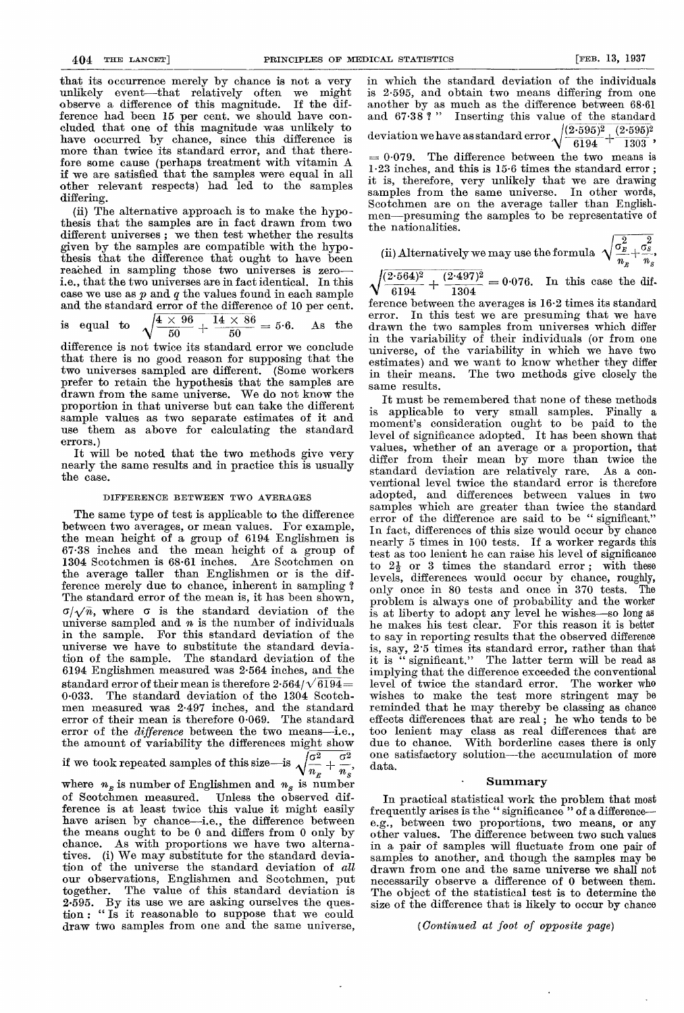that its occurrence merely by chance is not a very unlikely event—that relatively often we might observe a difference of this magnitude. If the difobserve a difference of this magnitude. ference had been 15 per cent. we should have concluded that one of this magnitude was unlikely to have occurred by chance, since this difference is more than twice its standard error, and that therefore some cause (perhaps treatment with vitamin A if we are satisfied that the samples were equal in all other relevant respects) had led to the samples differing.

(ii) The alternative approach is to make the hypo- thesis that the samples are in fact drawn from two different universes ; we then test whether the results given by the samples are compatible with the hypothesis that the difference that ought to have been reached in sampling those two universes is zeroi.e., that the two universes are in fact identical. In this case we use as  $p$  and  $q$  the values found in each sample and the standard error of the difference of 10 per cent.

is equal to  $\sqrt{\frac{4 \times 96}{50} + \frac{14 \times 86}{50}} = 5.6$ . As the

difference is not twice its standard error we conclude that there is no good reason for supposing that the two universes sampled are different. prefer to retain the hypothesis that the samples are drawn from the same universe. We do not know the proportion in that universe but can take the different sample values as two separate estimates of it and use them as above for calculating the standard errors. )

It will be noted that the two methods give very nearly the same results and in practice this is usually the case.

#### DIFFERENCE BETWEEN TWO AVERAGES

The same type of test is applicable to the difference between two averages, or mean values. For example, the mean height of a group of 6194 Englishmen is 67-38 inches and the mean height of a group of 1304 Scotchmen is 68-61 inches. Are Scotchmen on the average taller than Englishmen or is the difference merely due to chance, inherent in sampling ? The standard error of the mean is, it has been shown,  $\sigma/\sqrt{n}$ , where  $\sigma$  is the standard deviation of the universe sampled and  $n$  is the number of individuals in the sample. For this standard deviation of the universe we have to substitute the standard deviation of the sample. The standard deviation of the 6194 Englishmen measured was 2-564 inches, and the standard error of their mean is therefore  $2.564/\sqrt{6194}=$ 0-033. The standard deviation of the 1304 Scotchmen measured was 2-497 inches, and the standard error of their mean is therefore 0-069. The standard error of the *difference* between the two means-i.e., the amount of variability the differences might show

# if we took repeated samples of this size—is  $\sqrt{\frac{\sigma^2}{n_x} + \frac{\sigma^2}{n_s}}$ ,

where  $n_{\overline{E}}$  is number of Englishmen and  $n_{\overline{S}}$  is number of Scotchmen measured. Unless the observed difference is at least twice this value it might easily have arisen by chance-i.e., the difference between the means ought to be 0 and differs from 0 only by chance. As with proportions we have two alternatives. (i) We may substitute for the standard deviation of the universe the standard deviation of all our observations, Englishmen and Scotchmen, put The value of this standard deviation is 2.595. By its use we are asking ourselves the question : "Is it reasonable to suppose that we could draw two samples from one and the same universe,

in which the standard deviation of the individuals is 2.595, and obtain two means differing from one another by as much as the difference between 68.61 and 67.38?" Inserting this value of the standard Inserting this value of the standard deviation we have as standard error  $\sqrt{\frac{(2\cdot 595)^2}{6194} + \frac{(2\cdot 595)^2}{1303}}$ ,  $= 0.079$ . The difference between the two means is 1.23 inches, and this is 15.6 times the standard error ; it is, therefore, very unlikely that we are drawing samples from the same universe. In other words, Scotchmen are on the average taller than Englishmen-presuming the samples to be representative of the nationalities.

(ii) Alternatively we may use the formula 
$$
\sqrt{\frac{\sigma_k^2}{n_x} + \frac{\sigma_s^2}{n_s}}
$$
,

 $= 0.076$ . In this case the dif-

ference between the averages is 16-2 times its standard error. In this test we are presuming that we have drawn the two samples from universes which differ in the variability of their individuals (or from one universe, of the variability in which we have two estimates) and we want to know whether they differ in their means. The two methods give closely the same results.

It must be remembered that none of these methods is applicable to very small samples. Finally a moment's consideration ought to be paid to the level of significance adopted. It has been shown that values, whether of an average or a proportion, that differ from their mean by more than twice the standard deviation are relatively rare. As a conventional level twice the standard error is therefore adopted, and differences between values in two samples which are greater than twice the standard error of the difference are said to be " significant." In fact, differences of this size would occur by chance nearly 5 times in 100 tests. If a worker regards this test as too lenient he can raise his level of significance to  $2\frac{1}{2}$  or 3 times the standard error; with these levels, differences would occur by chance, roughly, only once in 80 tests and once in 370 tests. The problem is always one of probability and the worker is at liberty to adopt any level he wishes-so long as he makes his test clear. For this reason it is better to say in reporting results that the observed difference is, say, 2'5 times its standard error, rather than that it is " significant." The latter term will be read as implying that the difference exceeded the conventional level of twice the standard error. The worker who wishes to make the test more stringent may be reminded that he may thereby be classing as chance effects differences that are real; he who tends to be too lenient may class as real differences that are due to chance. With borderline cases there is only one satisfactory solution-the accumulation of more data.

#### **Summary**

In practical statistical work the problem that most frequently arises is the " significance " of a differencee.g., between two proportions, two means, or any other values. The difference between two such values in a pair of samples will fluctuate from one pair of samples to another, and though the samples may be drawn from one and the same universe we shall not necessarily observe a difference of 0 between them. The object of the statistical test is to determine the size of the difference that is likely to occur by chance

#### (Continued at foot of opposite page)